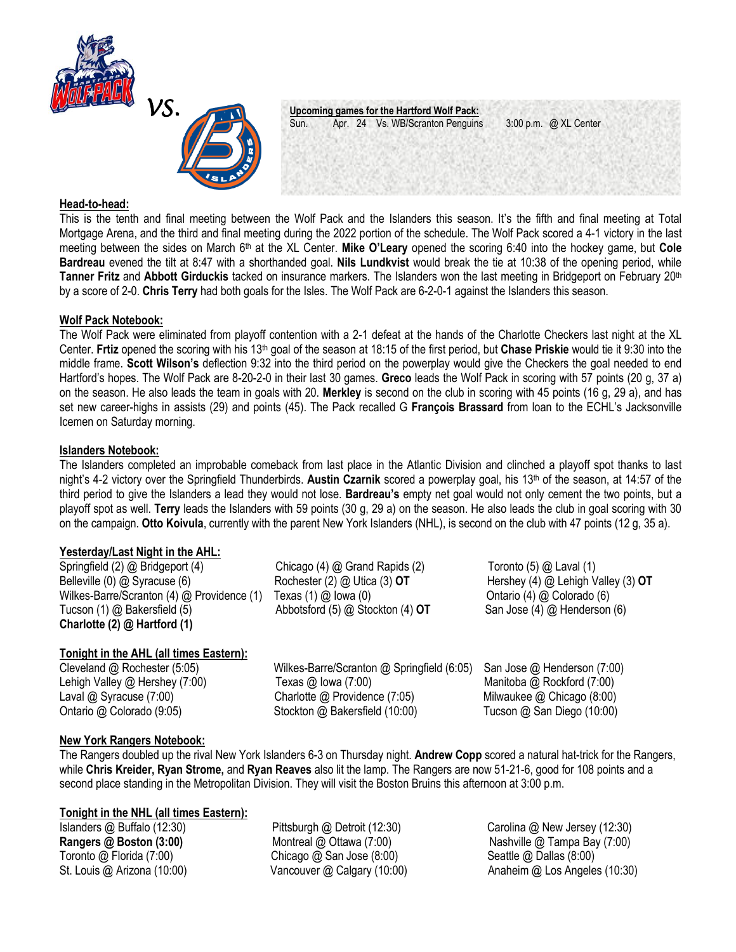



**VS. <u>Upcoming games for the Hartford Wolf Pack:</u>**<br>Sun. **Apr. 24 Vs. WB/Scranton Penguins** Apr. 24 Vs. WB/Scranton Penguins 3:00 p.m. @ XL Center

## **Head-to-head:**

This is the tenth and final meeting between the Wolf Pack and the Islanders this season. It's the fifth and final meeting at Total Mortgage Arena, and the third and final meeting during the 2022 portion of the schedule. The Wolf Pack scored a 4-1 victory in the last meeting between the sides on March 6th at the XL Center. **Mike O'Leary** opened the scoring 6:40 into the hockey game, but **Cole Bardreau** evened the tilt at 8:47 with a shorthanded goal. **Nils Lundkvist** would break the tie at 10:38 of the opening period, while **Tanner Fritz** and **Abbott Girduckis** tacked on insurance markers. The Islanders won the last meeting in Bridgeport on February 20th by a score of 2-0. **Chris Terry** had both goals for the Isles. The Wolf Pack are 6-2-0-1 against the Islanders this season.

## **Wolf Pack Notebook:**

The Wolf Pack were eliminated from playoff contention with a 2-1 defeat at the hands of the Charlotte Checkers last night at the XL Center. **Frtiz** opened the scoring with his 13th goal of the season at 18:15 of the first period, but **Chase Priskie** would tie it 9:30 into the middle frame. **Scott Wilson's** deflection 9:32 into the third period on the powerplay would give the Checkers the goal needed to end Hartford's hopes. The Wolf Pack are 8-20-2-0 in their last 30 games. **Greco** leads the Wolf Pack in scoring with 57 points (20 g, 37 a) on the season. He also leads the team in goals with 20. **Merkley** is second on the club in scoring with 45 points (16 g, 29 a), and has set new career-highs in assists (29) and points (45). The Pack recalled G **François Brassard** from loan to the ECHL's Jacksonville Icemen on Saturday morning.

## **Islanders Notebook:**

The Islanders completed an improbable comeback from last place in the Atlantic Division and clinched a playoff spot thanks to last night's 4-2 victory over the Springfield Thunderbirds. **Austin Czarnik** scored a powerplay goal, his 13th of the season, at 14:57 of the third period to give the Islanders a lead they would not lose. **Bardreau's** empty net goal would not only cement the two points, but a playoff spot as well. **Terry** leads the Islanders with 59 points (30 g, 29 a) on the season. He also leads the club in goal scoring with 30 on the campaign. **Otto Koivula**, currently with the parent New York Islanders (NHL), is second on the club with 47 points (12 g, 35 a).

# **Yesterday/Last Night in the AHL:**

| Springfield (2) @ Bridgeport (4)               | Chicago $(4)$ $@$ Grand Rapids $(2)$ | Toronto $(5)$ $@$ Laval $(1)$        |
|------------------------------------------------|--------------------------------------|--------------------------------------|
| Belleville $(0)$ $@$ Syracuse $(6)$            | Rochester $(2)$ $@$ Utica $(3)$ OT   | Hershey (4) $@$ Lehigh Valley (3) OT |
| Wilkes-Barre/Scranton $(4)$ @ Providence $(1)$ | Texas $(1)$ $@$ lowa $(0)$           | Ontario (4) @ Colorado (6)           |
| Tucson $(1)$ $@$ Bakersfield $(5)$             | Abbotsford $(5)$ @ Stockton $(4)$ OT | San Jose (4) @ Henderson (6)         |
| Charlotte (2) @ Hartford (1)                   |                                      |                                      |

# **Tonight in the AHL (all times Eastern):**

Cleveland @ Rochester (5:05) Wilkes-Barre/Scranton @ Springfield (6:05) San Jose @ Henderson (7:00) Lehigh Valley @ Hershey (7:00) Texas @ Iowa (7:00) Manitoba @ Rockford (7:00) Laval @ Syracuse (7:00) Charlotte @ Providence (7:05) Milwaukee @ Chicago (8:00) Ontario @ Colorado (9:05) Stockton @ Bakersfield (10:00) Tucson @ San Diego (10:00)

# **New York Rangers Notebook:**

The Rangers doubled up the rival New York Islanders 6-3 on Thursday night. **Andrew Copp** scored a natural hat-trick for the Rangers, while **Chris Kreider, Ryan Strome,** and **Ryan Reaves** also lit the lamp. The Rangers are now 51-21-6, good for 108 points and a second place standing in the Metropolitan Division. They will visit the Boston Bruins this afternoon at 3:00 p.m.

# **Tonight in the NHL (all times Eastern):**

Islanders @ Buffalo (12:30) Pittsburgh @ Detroit (12:30) Carolina @ New Jersey (12:30) Toronto @ Florida (7:00) Chicago @ San Jose (8:00) Seattle @ Dallas (8:00)

**Rangers @ Boston (3:00)** Montreal @ Ottawa (7:00) Nashville @ Tampa Bay (7:00) St. Louis @ Arizona (10:00) Vancouver @ Calgary (10:00) Anaheim @ Los Angeles (10:30)